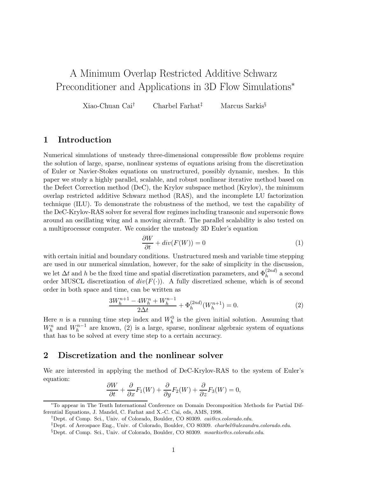# A Minimum Overlap Restricted Additive Schwarz Preconditioner and Applications in 3D Flow Simulations<sup>∗</sup>

Xiao-Chuan Cai† Charbel Farhat‡ Marcus Sarkis§

### **1 Introduction**

Numerical simulations of unsteady three-dimensional compressible flow problems require the solution of large, sparse, nonlinear systems of equations arising from the discretization of Euler or Navier-Stokes equations on unstructured, possibly dynamic, meshes. In this paper we study a highly parallel, scalable, and robust nonlinear iterative method based on the Defect Correction method (DeC), the Krylov subspace method (Krylov), the minimum overlap restricted additive Schwarz method (RAS), and the incomplete LU factorization technique (ILU). To demonstrate the robustness of the method, we test the capability of the DeC-Krylov-RAS solver for several flow regimes including transonic and supersonic flows around an oscillating wing and a moving aircraft. The parallel scalability is also tested on a multiprocessor computer. We consider the unsteady 3D Euler's equation

$$
\frac{\partial W}{\partial t} + div(F(W)) = 0\tag{1}
$$

with certain initial and boundary conditions. Unstructured mesh and variable time stepping are used in our numerical simulation, however, for the sake of simplicity in the discussion, we let  $\Delta t$  and h be the fixed time and spatial discretization parameters, and  $\Phi_h^{(2nd)}$  a second order MUSCL discretization of  $div(F(\cdot))$ . A fully discretized scheme, which is of second order in both space and time, can be written as

$$
\frac{3W_h^{n+1} - 4W_h^n + W_h^{n-1}}{2\Delta t} + \Phi_h^{(2nd)}(W_h^{n+1}) = 0.
$$
\n(2)

Here *n* is a running time step index and  $W_h^0$  is the given initial solution. Assuming that  $W_h^n$  and  $W_h^{n-1}$  are known, (2) is a large, sparse, nonlinear algebraic system of equations that has to be solved at every time step to a certain accuracy.

### **2 Discretization and the nonlinear solver**

We are interested in applying the method of DeC-Krylov-RAS to the system of Euler's equation:

$$
\frac{\partial W}{\partial t} + \frac{\partial}{\partial x} F_1(W) + \frac{\partial}{\partial y} F_2(W) + \frac{\partial}{\partial z} F_3(W) = 0,
$$

<sup>∗</sup>To appear in The Tenth International Conference on Domain Decomposition Methods for Partial Differential Equations, J. Mandel, C. Farhat and X.-C. Cai, eds, AMS, 1998.

<sup>†</sup>Dept. of Comp. Sci., Univ. of Colorado, Boulder, CO 80309. cai@cs.colorado.edu.

<sup>‡</sup>Dept. of Aerospace Eng., Univ. of Colorado, Boulder, CO 80309. charbel@alexandra.colorado.edu.

<sup>§</sup>Dept. of Comp. Sci., Univ. of Colorado, Boulder, CO 80309. msarkis@cs.colorado.edu.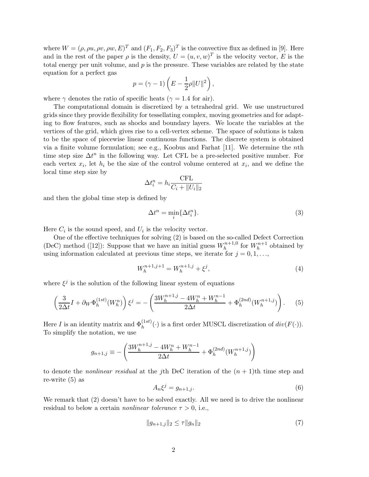where  $W = (\rho, \rho u, \rho v, \rho w, E)^T$  and  $(F_1, F_2, F_3)^T$  is the convective flux as defined in [9]. Here and in the rest of the paper  $\rho$  is the density,  $U = (u, v, w)^T$  is the velocity vector, E is the total energy per unit volume, and  $p$  is the pressure. These variables are related by the state equation for a perfect gas

$$
p = (\gamma - 1) \left( E - \frac{1}{2} \rho ||U||^2 \right),
$$

where  $\gamma$  denotes the ratio of specific heats ( $\gamma = 1.4$  for air).

The computational domain is discretized by a tetrahedral grid. We use unstructured grids since they provide flexibility for tessellating complex, moving geometries and for adapting to flow features, such as shocks and boundary layers. We locate the variables at the vertices of the grid, which gives rise to a cell-vertex scheme. The space of solutions is taken to be the space of piecewise linear continuous functions. The discrete system is obtained via a finite volume formulation; see e.g., Koobus and Farhat [11]. We determine the nth time step size  $\Delta t^n$  in the following way. Let CFL be a pre-selected positive number. For each vertex  $x_i$ , let  $h_i$  be the size of the control volume centered at  $x_i$ , and we define the local time step size by

$$
\Delta t_i^n = h_i \frac{\text{CFL}}{C_i + ||U_i||_2}
$$

and then the global time step is defined by

$$
\Delta t^n = \min_i \{ \Delta t_i^n \}. \tag{3}
$$

Here  $C_i$  is the sound speed, and  $U_i$  is the velocity vector.

One of the effective techniques for solving (2) is based on the so-called Defect Correction (DeC) method ([12]): Suppose that we have an initial guess  $W_h^{n+1,0}$  for  $W_h^{n+1}$  obtained by using information calculated at previous time steps, we iterate for  $j = 0, 1, \ldots$ ,

$$
W_h^{n+1,j+1} = W_h^{n+1,j} + \xi^j,\tag{4}
$$

where  $\xi^j$  is the solution of the following linear system of equations

$$
\left(\frac{3}{2\Delta t}I + \partial_W \Phi_h^{(1st)}(W_h^n)\right)\xi^j = -\left(\frac{3W_h^{n+1,j} - 4W_h^n + W_h^{n-1}}{2\Delta t} + \Phi_h^{(2nd)}(W_h^{n+1,j})\right). \tag{5}
$$

Here I is an identity matrix and  $\Phi_h^{(1st)}(\cdot)$  is a first order MUSCL discretization of  $div(F(\cdot))$ . To simplify the notation, we use

$$
g_{n+1,j} \equiv -\left(\frac{3W_h^{n+1,j} - 4W_h^n + W_h^{n-1}}{2\Delta t} + \Phi_h^{(2nd)}(W_h^{n+1,j})\right)
$$

to denote the *nonlinear residual* at the *j*th DeC iteration of the  $(n + 1)$ th time step and re-write (5) as

$$
A_n \xi^j = g_{n+1,j}.\tag{6}
$$

We remark that (2) doesn't have to be solved exactly. All we need is to drive the nonlinear residual to below a certain *nonlinear tolerance*  $\tau > 0$ , i.e.,

$$
||g_{n+1,j}||_2 \le \tau ||g_n||_2 \tag{7}
$$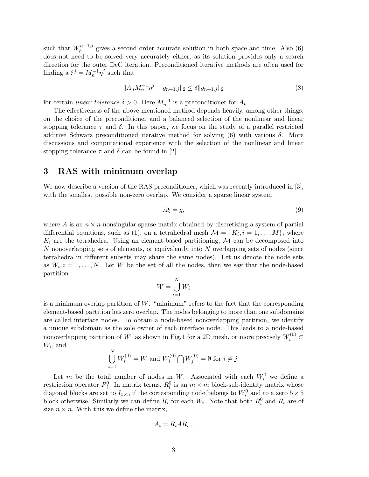such that  $W_h^{n+1,j}$  gives a second order accurate solution in both space and time. Also (6) does not need to be solved very accurately either, as its solution provides only a search direction for the outer DeC iteration. Preconditioned iterative methods are often used for finding a  $\xi^j = M_n^{-1} \eta^j$  such that

$$
||A_n M_n^{-1} \eta^j - g_{n+1,j}||_2 \le \delta ||g_{n+1,j}||_2 \tag{8}
$$

for certain linear tolerance  $\delta > 0$ . Here  $M_n^{-1}$  is a preconditioner for  $A_n$ .

The effectiveness of the above mentioned method depends heavily, among other things, on the choice of the preconditioner and a balanced selection of the nonlinear and linear stopping tolerance  $\tau$  and  $\delta$ . In this paper, we focus on the study of a parallel restricted additive Schwarz preconditioned iterative method for solving  $(6)$  with various  $\delta$ . More discussions and computational experience with the selection of the nonlinear and linear stopping tolerance  $\tau$  and  $\delta$  can be found in [2].

### **3 RAS with minimum overlap**

We now describe a version of the RAS preconditioner, which was recently introduced in [3], with the smallest possible non-zero overlap. We consider a sparse linear system

$$
A\xi = g,\tag{9}
$$

where A is an  $n \times n$  nonsingular sparse matrix obtained by discretizing a system of partial differential equations, such as (1), on a tetrahedral mesh  $\mathcal{M} = \{K_i, i = 1, \ldots, M\}$ , where  $K_i$  are the tetrahedra. Using an element-based partitioning,  $M$  can be decomposed into N nonoverlapping sets of elements, or equivalently into N overlapping sets of nodes (since tetrahedra in different subsets may share the same nodes). Let us denote the node sets as  $W_i$ ,  $i = 1, \ldots, N$ . Let W be the set of all the nodes, then we say that the node-based partition

$$
W = \bigcup_{i=1}^{N} W_i
$$

is a minimum overlap partition of  $W$ . "minimum" refers to the fact that the corresponding element-based partition has zero overlap. The nodes belonging to more than one subdomains are called interface nodes. To obtain a node-based nonoverlapping partition, we identify a unique subdomain as the sole owner of each interface node. This leads to a node-based nonoverlapping partition of W, as shown in Fig.1 for a 2D mesh, or more precisely  $W_i^{(0)}$   $\subset$  $W_i$ , and

$$
\bigcup_{i=1}^{N} W_i^{(0)} = W \text{ and } W_i^{(0)} \bigcap W_j^{(0)} = \emptyset \text{ for } i \neq j.
$$

Let m be the total number of nodes in W. Associated with each  $W_i^0$  we define a restriction operator  $R_i^0$ . In matrix terms,  $R_i^0$  is an  $m \times m$  block-sub-identity matrix whose diagonal blocks are set to  $I_{5\times 5}$  if the corresponding node belongs to  $W_i^0$  and to a zero  $5\times 5$ block otherwise. Similarly we can define  $R_i$  for each  $W_i$ . Note that both  $R_i^0$  and  $R_i$  are of size  $n \times n$ . With this we define the matrix,

$$
A_i = R_i AR_i .
$$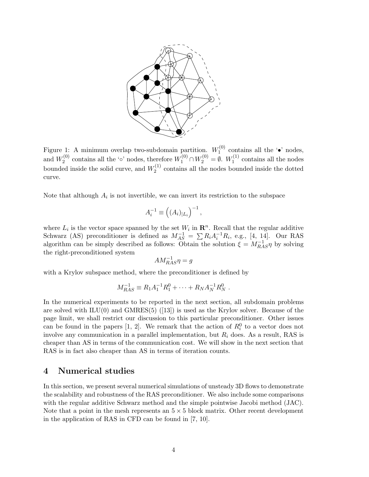

Figure 1: A minimum overlap two-subdomain partition.  $W_1^{(0)}$  contains all the ' $\bullet$ ' nodes, and  $W_2^{(0)}$  contains all the '∘' nodes, therefore  $W_1^{(0)} \cap W_2^{(0)} = \emptyset$ .  $W_1^{(1)}$  contains all the nodes bounded inside the solid curve, and  $W_2^{(1)}$  contains all the nodes bounded inside the dotted curve.

Note that although  $A_i$  is not invertible, we can invert its restriction to the subspace

$$
A_i^{-1} \equiv \left( (A_i)_{|L_i} \right)^{-1},
$$

where  $L_i$  is the vector space spanned by the set  $W_i$  in  $\mathbb{R}^n$ . Recall that the regular additive Schwarz (AS) preconditioner is defined as  $M_{AS}^{-1} = \sum R_i A_i^{-1} R_i$ , e.g., [4, 14]. Our RAS algorithm can be simply described as follows: Obtain the solution  $\xi = M_{RAS}^{-1} \eta$  by solving the right-preconditioned system

$$
AM_{RAS}^{-1}\eta = g
$$

with a Krylov subspace method, where the preconditioner is defined by

$$
M_{RAS}^{-1} \equiv R_1 A_1^{-1} R_1^0 + \dots + R_N A_N^{-1} R_N^0.
$$

In the numerical experiments to be reported in the next section, all subdomain problems are solved with  $ILU(0)$  and  $GMRES(5)$  ([13]) is used as the Krylov solver. Because of the page limit, we shall restrict our discussion to this particular preconditioner. Other issues can be found in the papers [1, 2]. We remark that the action of  $R_i^0$  to a vector does not involve any communication in a parallel implementation, but  $R_i$  does. As a result, RAS is cheaper than AS in terms of the communication cost. We will show in the next section that RAS is in fact also cheaper than AS in terms of iteration counts.

### **4 Numerical studies**

In this section, we present several numerical simulations of unsteady 3D flows to demonstrate the scalability and robustness of the RAS preconditioner. We also include some comparisons with the regular additive Schwarz method and the simple pointwise Jacobi method (JAC). Note that a point in the mesh represents an  $5 \times 5$  block matrix. Other recent development in the application of RAS in CFD can be found in [7, 10].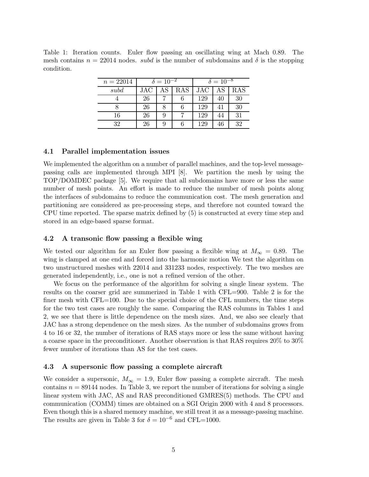Table 1: Iteration counts. Euler flow passing an oscillating wing at Mach 0.89. The mesh contains  $n = 22014$  nodes. *subd* is the number of subdomains and  $\delta$  is the stopping condition.

| $n = 22014$ | $\delta = 10^{-2}$ |    |           | $\delta = 10^{-8}$ |    |     |
|-------------|--------------------|----|-----------|--------------------|----|-----|
| subd        | $_{\rm JAC}$       | AS | $\rm RAS$ | <b>JAC</b>         | AS | RAS |
|             | 26                 |    |           | 129                | 40 | 30  |
|             | 26                 |    |           | 129                | 41 | 30  |
| 16          | 26                 | 9  |           | 129                |    | 31  |
| 39          | 26                 | 9  |           | 129                |    | 32  |

#### **4.1 Parallel implementation issues**

We implemented the algorithm on a number of parallel machines, and the top-level messagepassing calls are implemented through MPI [8]. We partition the mesh by using the TOP/DOMDEC package [5]. We require that all subdomains have more or less the same number of mesh points. An effort is made to reduce the number of mesh points along the interfaces of subdomains to reduce the communication cost. The mesh generation and partitioning are considered as pre-processing steps, and therefore not counted toward the CPU time reported. The sparse matrix defined by (5) is constructed at every time step and stored in an edge-based sparse format.

#### **4.2 A transonic flow passing a flexible wing**

We tested our algorithm for an Euler flow passing a flexible wing at  $M_{\infty} = 0.89$ . The wing is clamped at one end and forced into the harmonic motion We test the algorithm on two unstructured meshes with 22014 and 331233 nodes, respectively. The two meshes are generated independently, i.e., one is not a refined version of the other.

We focus on the performance of the algorithm for solving a single linear system. The results on the coarser grid are summerized in Table 1 with CFL=900. Table 2 is for the finer mesh with CFL=100. Due to the special choice of the CFL numbers, the time steps for the two test cases are roughly the same. Comparing the RAS columns in Tables 1 and 2, we see that there is little dependence on the mesh sizes. And, we also see clearly that JAC has a strong dependence on the mesh sizes. As the number of subdomains grows from 4 to 16 or 32, the number of iterations of RAS stays more or less the same without having a coarse space in the preconditioner. Another observation is that RAS requires 20% to 30% fewer number of iterations than AS for the test cases.

#### **4.3 A supersonic flow passing a complete aircraft**

We consider a supersonic,  $M_{\infty} = 1.9$ , Euler flow passing a complete aircraft. The mesh contains  $n = 89144$  nodes. In Table 3, we report the number of iterations for solving a single linear system with JAC, AS and RAS preconditioned GMRES(5) methods. The CPU and communication (COMM) times are obtained on a SGI Origin 2000 with 4 and 8 processors. Even though this is a shared memory machine, we still treat it as a message-passing machine. The results are given in Table 3 for  $\delta = 10^{-6}$  and CFL=1000.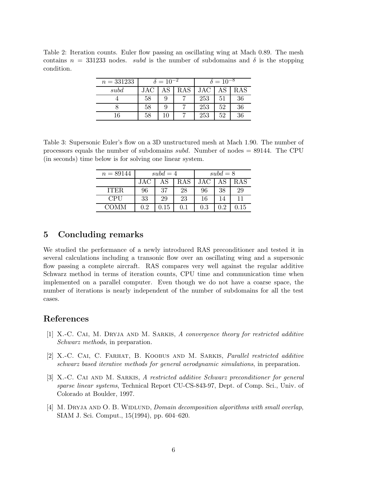Table 2: Iteration counts. Euler flow passing an oscillating wing at Mach 0.89. The mesh contains  $n = 331233$  nodes. *subd* is the number of subdomains and  $\delta$  is the stopping condition.

| $n = 331233$ | $\delta = 10^{-2}$ |    |     | $\delta = 10^{-8}$ |    |            |
|--------------|--------------------|----|-----|--------------------|----|------------|
| subd         |                    | AS | RAS | JAC                |    | $\rm{RAS}$ |
|              | 58                 |    |     | 253                | 51 | 36         |
|              | 58                 |    |     | 253                | 52 | 36         |
| 16           | 58                 |    |     | 253                | 52 | 36         |

Table 3: Supersonic Euler's flow on a 3D unstructured mesh at Mach 1.90. The number of processors equals the number of subdomains subd. Number of nodes = 89144. The CPU (in seconds) time below is for solving one linear system.

| $n = 89144$ | $subd = 4$ |            |         | $subd = 8$ |     |            |
|-------------|------------|------------|---------|------------|-----|------------|
|             | JAC.       | AS         | RAS     | <b>JAC</b> | АS  | RAS        |
| <b>ITER</b> | 96         | 37         | 28      | 96         | 38  | 29         |
| CPU         | 33         | 29         | 23      | 16         | 14  | 11         |
| COMM        | 0.2        | $\rm 0.15$ | $0.1\,$ | $\rm 0.3$  | 0.2 | $\rm 0.15$ |

## **5 Concluding remarks**

We studied the performance of a newly introduced RAS preconditioner and tested it in several calculations including a transonic flow over an oscillating wing and a supersonic flow passing a complete aircraft. RAS compares very well against the regular additive Schwarz method in terms of iteration counts, CPU time and communication time when implemented on a parallel computer. Even though we do not have a coarse space, the number of iterations is nearly independent of the number of subdomains for all the test cases.

## **References**

- [1] X.-C. Cai, M. Dryja and M. Sarkis, A convergence theory for restricted additive Schwarz methods, in preparation.
- [2] X.-C. Cai, C. Farhat, B. Koobus and M. Sarkis, Parallel restricted additive schwarz based iterative methods for general aerodynamic simulations, in preparation.
- [3] X.-C. Cai and M. Sarkis, A restricted additive Schwarz preconditioner for general sparse linear systems, Technical Report CU-CS-843-97, Dept. of Comp. Sci., Univ. of Colorado at Boulder, 1997.
- [4] M. DRYJA AND O. B. WIDLUND, *Domain decomposition algorithms with small overlap*, SIAM J. Sci. Comput., 15(1994), pp. 604–620.